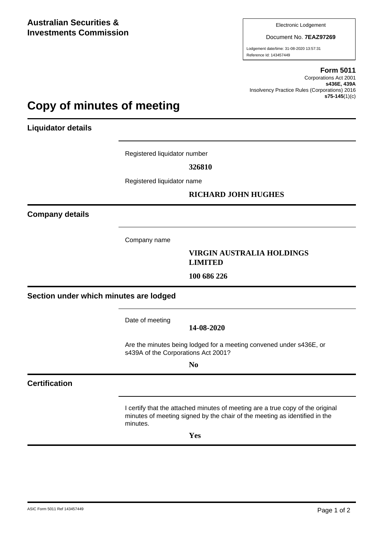Electronic Lodgement

Document No. **7EAZ97269**

Lodgement date/time: 31-08-2020 13:57:31 Reference Id: 143457449

#### **Form 5011**

Corporations Act 2001 **s436E, 439A** Insolvency Practice Rules (Corporations) 2016 **s75-145**(1)(c)

# **Copy of minutes of meeting**

**Liquidator details**

Registered liquidator number

**326810**

Registered liquidator name

# **RICHARD JOHN HUGHES**

**Company details**

Company name

### **VIRGIN AUSTRALIA HOLDINGS LIMITED**

**100 686 226**

**Section under which minutes are lodged**

Date of meeting

**14-08-2020**

Are the minutes being lodged for a meeting convened under s436E, or s439A of the Corporations Act 2001?

**No**

# **Certification**

I certify that the attached minutes of meeting are a true copy of the original minutes of meeting signed by the chair of the meeting as identified in the minutes.

**Yes**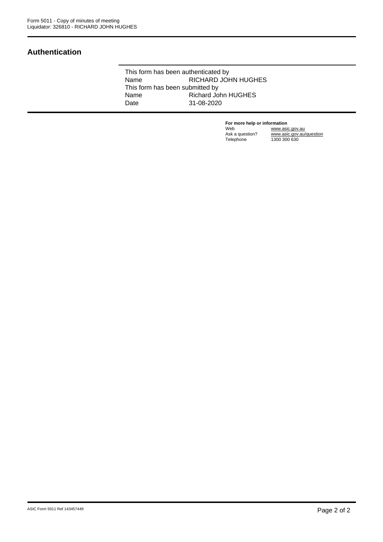# **Authentication**

This form has been authenticated by Name RICHARD JOHN HUGHES This form has been submitted by<br>Name Richard Jo Richard John HUGHES Date 31-08-2020

> **For more help or information**<br>Web www.asi Web www.asic.gov.au Ask a question? www.asic.gov.au/question Telephone 1300 300 630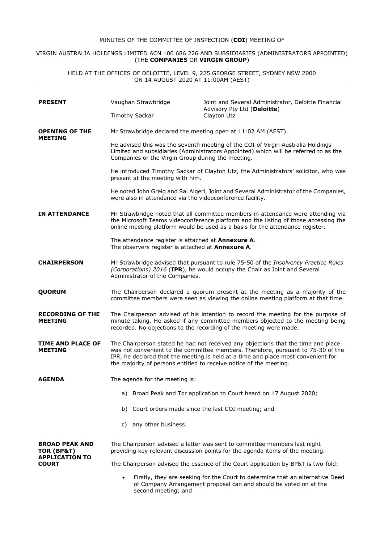#### MINUTES OF THE COMMITTEE OF INSPECTION (**COI**) MEETING OF

#### VIRGIN AUSTRALIA HOLDINGS LIMITED ACN 100 686 226 AND SUBSIDIARIES (ADMINISTRATORS APPOINTED) (THE **COMPANIES** OR **VIRGIN GROUP**)

HELD AT THE OFFICES OF DELOITTE, LEVEL 9, 225 GEORGE STREET, SYDNEY NSW 2000 ON 14 AUGUST 2020 AT 11:00AM (AEST)

| <b>PRESENT</b>                                               |                                                                                                                                                                                                                                                                                                                                  | Vaughan Strawbridge   | Joint and Several Administrator, Deloitte Financial<br>Advisory Pty Ltd (Deloitte)                                                                 |  |
|--------------------------------------------------------------|----------------------------------------------------------------------------------------------------------------------------------------------------------------------------------------------------------------------------------------------------------------------------------------------------------------------------------|-----------------------|----------------------------------------------------------------------------------------------------------------------------------------------------|--|
|                                                              |                                                                                                                                                                                                                                                                                                                                  | <b>Timothy Sackar</b> | Clayton Utz                                                                                                                                        |  |
| <b>OPENING OF THE</b><br><b>MEETING</b>                      | Mr Strawbridge declared the meeting open at 11:02 AM (AEST).                                                                                                                                                                                                                                                                     |                       |                                                                                                                                                    |  |
|                                                              | He advised this was the seventh meeting of the COI of Virgin Australia Holdings<br>Limited and subsidiaries (Administrators Appointed) which will be referred to as the<br>Companies or the Virgin Group during the meeting.                                                                                                     |                       |                                                                                                                                                    |  |
|                                                              | He introduced Timothy Sackar of Clayton Utz, the Administrators' solicitor, who was<br>present at the meeting with him.                                                                                                                                                                                                          |                       |                                                                                                                                                    |  |
|                                                              | He noted John Greig and Sal Algeri, Joint and Several Administrator of the Companies,<br>were also in attendance via the videoconference facility.                                                                                                                                                                               |                       |                                                                                                                                                    |  |
| <b>IN ATTENDANCE</b>                                         | Mr Strawbridge noted that all committee members in attendance were attending via<br>the Microsoft Teams videoconference platform and the listing of those accessing the<br>online meeting platform would be used as a basis for the attendance register.                                                                         |                       |                                                                                                                                                    |  |
|                                                              | The attendance register is attached at Annexure A.<br>The observers register is attached at Annexure A.                                                                                                                                                                                                                          |                       |                                                                                                                                                    |  |
| <b>CHAIRPERSON</b>                                           | Mr Strawbridge advised that pursuant to rule 75-50 of the Insolvency Practice Rules<br>(Corporations) 2016 (IPR), he would occupy the Chair as Joint and Several<br>Administrator of the Companies.                                                                                                                              |                       |                                                                                                                                                    |  |
| <b>QUORUM</b>                                                | The Chairperson declared a quorum present at the meeting as a majority of the<br>committee members were seen as viewing the online meeting platform at that time.                                                                                                                                                                |                       |                                                                                                                                                    |  |
| <b>RECORDING OF THE</b><br><b>MEETING</b>                    | The Chairperson advised of his intention to record the meeting for the purpose of<br>minute taking. He asked if any committee members objected to the meeting being<br>recorded. No objections to the recording of the meeting were made.                                                                                        |                       |                                                                                                                                                    |  |
| TIME AND PLACE OF<br><b>MEETING</b>                          | The Chairperson stated he had not received any objections that the time and place<br>was not convenient to the committee members. Therefore, pursuant to 75-30 of the<br>IPR, he declared that the meeting is held at a time and place most convenient for<br>the majority of persons entitled to receive notice of the meeting. |                       |                                                                                                                                                    |  |
| <b>AGENDA</b>                                                | The agenda for the meeting is:                                                                                                                                                                                                                                                                                                   |                       |                                                                                                                                                    |  |
|                                                              |                                                                                                                                                                                                                                                                                                                                  |                       | a) Broad Peak and Tor application to Court heard on 17 August 2020;                                                                                |  |
|                                                              |                                                                                                                                                                                                                                                                                                                                  |                       | b) Court orders made since the last COI meeting; and                                                                                               |  |
|                                                              | C)                                                                                                                                                                                                                                                                                                                               | any other business.   |                                                                                                                                                    |  |
| <b>BROAD PEAK AND</b><br>TOR (BP&T)<br><b>APPLICATION TO</b> | The Chairperson advised a letter was sent to committee members last night<br>providing key relevant discussion points for the agenda items of the meeting.                                                                                                                                                                       |                       |                                                                                                                                                    |  |
| <b>COURT</b>                                                 | The Chairperson advised the essence of the Court application by BP&T is two-fold:                                                                                                                                                                                                                                                |                       |                                                                                                                                                    |  |
|                                                              | ٠                                                                                                                                                                                                                                                                                                                                | second meeting; and   | Firstly, they are seeking for the Court to determine that an alternative Deed<br>of Company Arrangement proposal can and should be voted on at the |  |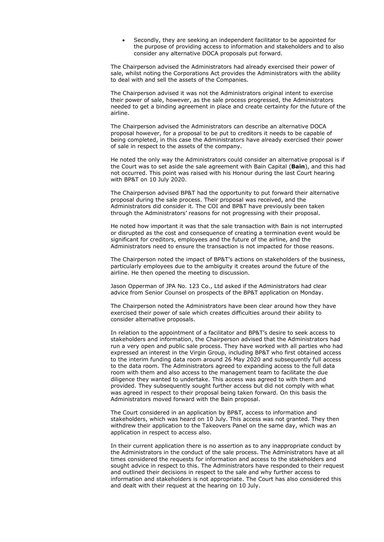Secondly, they are seeking an independent facilitator to be appointed for the purpose of providing access to information and stakeholders and to also consider any alternative DOCA proposals put forward.

The Chairperson advised the Administrators had already exercised their power of sale, whilst noting the Corporations Act provides the Administrators with the ability to deal with and sell the assets of the Companies.

The Chairperson advised it was not the Administrators original intent to exercise their power of sale, however, as the sale process progressed, the Administrators needed to get a binding agreement in place and create certainty for the future of the airline.

The Chairperson advised the Administrators can describe an alternative DOCA proposal however, for a proposal to be put to creditors it needs to be capable of being completed, in this case the Administrators have already exercised their power of sale in respect to the assets of the company.

He noted the only way the Administrators could consider an alternative proposal is if the Court was to set aside the sale agreement with Bain Capital (**Bain**), and this had not occurred. This point was raised with his Honour during the last Court hearing with BP&T on 10 July 2020.

The Chairperson advised BP&T had the opportunity to put forward their alternative proposal during the sale process. Their proposal was received, and the Administrators did consider it. The COI and BP&T have previously been taken through the Administrators' reasons for not progressing with their proposal.

He noted how important it was that the sale transaction with Bain is not interrupted or disrupted as the cost and consequence of creating a termination event would be significant for creditors, employees and the future of the airline, and the Administrators need to ensure the transaction is not impacted for those reasons.

The Chairperson noted the impact of BP&T's actions on stakeholders of the business, particularly employees due to the ambiguity it creates around the future of the airline. He then opened the meeting to discussion.

Jason Opperman of JPA No. 123 Co., Ltd asked if the Administrators had clear advice from Senior Counsel on prospects of the BP&T application on Monday.

The Chairperson noted the Administrators have been clear around how they have exercised their power of sale which creates difficulties around their ability to consider alternative proposals.

In relation to the appointment of a facilitator and BP&T's desire to seek access to stakeholders and information, the Chairperson advised that the Administrators had run a very open and public sale process. They have worked with all parties who had expressed an interest in the Virgin Group, including BP&T who first obtained access to the interim funding data room around 26 May 2020 and subsequently full access to the data room. The Administrators agreed to expanding access to the full data room with them and also access to the management team to facilitate the due diligence they wanted to undertake. This access was agreed to with them and provided. They subsequently sought further access but did not comply with what was agreed in respect to their proposal being taken forward. On this basis the Administrators moved forward with the Bain proposal.

The Court considered in an application by BP&T, access to information and stakeholders, which was heard on 10 July. This access was not granted. They then withdrew their application to the Takeovers Panel on the same day, which was an application in respect to access also.

In their current application there is no assertion as to any inappropriate conduct by the Administrators in the conduct of the sale process. The Administrators have at all times considered the requests for information and access to the stakeholders and sought advice in respect to this. The Administrators have responded to their request and outlined their decisions in respect to the sale and why further access to information and stakeholders is not appropriate. The Court has also considered this and dealt with their request at the hearing on 10 July.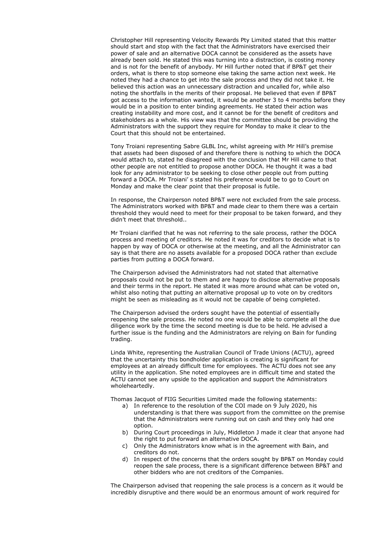Christopher Hill representing Velocity Rewards Pty Limited stated that this matter should start and stop with the fact that the Administrators have exercised their power of sale and an alternative DOCA cannot be considered as the assets have already been sold. He stated this was turning into a distraction, is costing money and is not for the benefit of anybody. Mr Hill further noted that if BP&T get their orders, what is there to stop someone else taking the same action next week. He noted they had a chance to get into the sale process and they did not take it. He believed this action was an unnecessary distraction and uncalled for, while also noting the shortfalls in the merits of their proposal. He believed that even if BP&T got access to the information wanted, it would be another 3 to 4 months before they would be in a position to enter binding agreements. He stated their action was creating instability and more cost, and it cannot be for the benefit of creditors and stakeholders as a whole. His view was that the committee should be providing the Administrators with the support they require for Monday to make it clear to the Court that this should not be entertained.

Tony Troiani representing Sabre GLBL Inc, whilst agreeing with Mr Hill's premise that assets had been disposed of and therefore there is nothing to which the DOCA would attach to, stated he disagreed with the conclusion that Mr Hill came to that other people are not entitled to propose another DOCA. He thought it was a bad look for any administrator to be seeking to close other people out from putting forward a DOCA. Mr Troiani' s stated his preference would be to go to Court on Monday and make the clear point that their proposal is futile.

In response, the Chairperson noted BP&T were not excluded from the sale process. The Administrators worked with BP&T and made clear to them there was a certain threshold they would need to meet for their proposal to be taken forward, and they didn't meet that threshold..

Mr Troiani clarified that he was not referring to the sale process, rather the DOCA process and meeting of creditors. He noted it was for creditors to decide what is to happen by way of DOCA or otherwise at the meeting, and all the Administrator can say is that there are no assets available for a proposed DOCA rather than exclude parties from putting a DOCA forward.

The Chairperson advised the Administrators had not stated that alternative proposals could not be put to them and are happy to disclose alternative proposals and their terms in the report. He stated it was more around what can be voted on, whilst also noting that putting an alternative proposal up to vote on by creditors might be seen as misleading as it would not be capable of being completed.

The Chairperson advised the orders sought have the potential of essentially reopening the sale process. He noted no one would be able to complete all the due diligence work by the time the second meeting is due to be held. He advised a further issue is the funding and the Administrators are relying on Bain for funding trading.

Linda White, representing the Australian Council of Trade Unions (ACTU), agreed that the uncertainty this bondholder application is creating is significant for employees at an already difficult time for employees. The ACTU does not see any utility in the application. She noted employees are in difficult time and stated the ACTU cannot see any upside to the application and support the Administrators wholeheartedly.

Thomas Jacquot of FIIG Securities Limited made the following statements:

- a) In reference to the resolution of the COI made on 9 July 2020, his understanding is that there was support from the committee on the premise that the Administrators were running out on cash and they only had one option.
- b) During Court proceedings in July, Middleton J made it clear that anyone had the right to put forward an alternative DOCA.
- c) Only the Administrators know what is in the agreement with Bain, and creditors do not.
- d) In respect of the concerns that the orders sought by BP&T on Monday could reopen the sale process, there is a significant difference between BP&T and other bidders who are not creditors of the Companies.

The Chairperson advised that reopening the sale process is a concern as it would be incredibly disruptive and there would be an enormous amount of work required for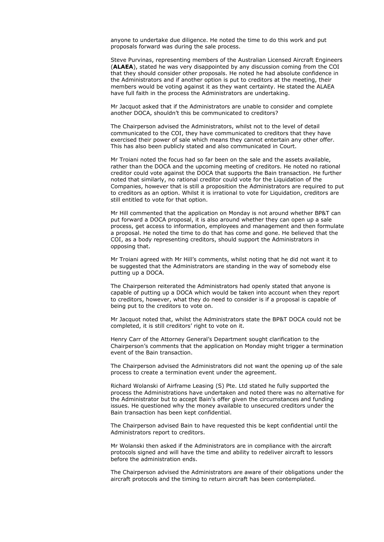anyone to undertake due diligence. He noted the time to do this work and put proposals forward was during the sale process.

Steve Purvinas, representing members of the Australian Licensed Aircraft Engineers (**ALAEA**), stated he was very disappointed by any discussion coming from the COI that they should consider other proposals. He noted he had absolute confidence in the Administrators and if another option is put to creditors at the meeting, their members would be voting against it as they want certainty. He stated the ALAEA have full faith in the process the Administrators are undertaking.

Mr Jacquot asked that if the Administrators are unable to consider and complete another DOCA, shouldn't this be communicated to creditors?

The Chairperson advised the Administrators, whilst not to the level of detail communicated to the COI, they have communicated to creditors that they have exercised their power of sale which means they cannot entertain any other offer. This has also been publicly stated and also communicated in Court.

Mr Troiani noted the focus had so far been on the sale and the assets available, rather than the DOCA and the upcoming meeting of creditors. He noted no rational creditor could vote against the DOCA that supports the Bain transaction. He further noted that similarly, no rational creditor could vote for the Liquidation of the Companies, however that is still a proposition the Administrators are required to put to creditors as an option. Whilst it is irrational to vote for Liquidation, creditors are still entitled to vote for that option.

Mr Hill commented that the application on Monday is not around whether BP&T can put forward a DOCA proposal, it is also around whether they can open up a sale process, get access to information, employees and management and then formulate a proposal. He noted the time to do that has come and gone. He believed that the COI, as a body representing creditors, should support the Administrators in opposing that.

Mr Troiani agreed with Mr Hill's comments, whilst noting that he did not want it to be suggested that the Administrators are standing in the way of somebody else putting up a DOCA.

The Chairperson reiterated the Administrators had openly stated that anyone is capable of putting up a DOCA which would be taken into account when they report to creditors, however, what they do need to consider is if a proposal is capable of being put to the creditors to vote on.

Mr Jacquot noted that, whilst the Administrators state the BP&T DOCA could not be completed, it is still creditors' right to vote on it.

Henry Carr of the Attorney General's Department sought clarification to the Chairperson's comments that the application on Monday might trigger a termination event of the Bain transaction.

The Chairperson advised the Administrators did not want the opening up of the sale process to create a termination event under the agreement.

Richard Wolanski of Airframe Leasing (S) Pte. Ltd stated he fully supported the process the Administrations have undertaken and noted there was no alternative for the Administrator but to accept Bain's offer given the circumstances and funding issues. He questioned why the money available to unsecured creditors under the Bain transaction has been kept confidential.

The Chairperson advised Bain to have requested this be kept confidential until the Administrators report to creditors.

Mr Wolanski then asked if the Administrators are in compliance with the aircraft protocols signed and will have the time and ability to redeliver aircraft to lessors before the administration ends.

The Chairperson advised the Administrators are aware of their obligations under the aircraft protocols and the timing to return aircraft has been contemplated.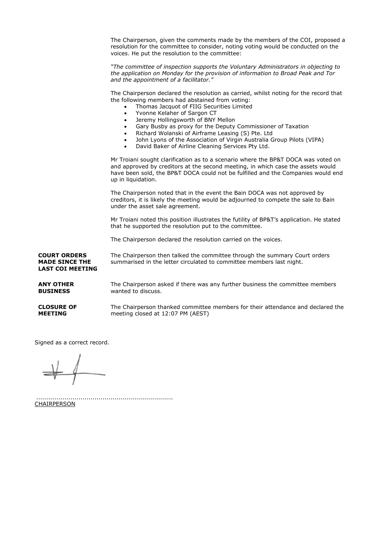The Chairperson, given the comments made by the members of the COI, proposed a resolution for the committee to consider, noting voting would be conducted on the voices. He put the resolution to the committee: *"The committee of inspection supports the Voluntary Administrators in objecting to the application on Monday for the provision of information to Broad Peak and Tor and the appointment of a facilitator."* The Chairperson declared the resolution as carried, whilst noting for the record that the following members had abstained from voting: Thomas Jacquot of FIIG Securities Limited Yvonne Kelaher of Sargon CT Jeremy Hollingsworth of BNY Mellon Gary Busby as proxy for the Deputy Commissioner of Taxation Richard Wolanski of Airframe Leasing (S) Pte. Ltd John Lyons of the Association of Virgin Australia Group Pilots (VIPA) David Baker of Airline Cleaning Services Pty Ltd. Mr Troiani sought clarification as to a scenario where the BP&T DOCA was voted on and approved by creditors at the second meeting, in which case the assets would have been sold, the BP&T DOCA could not be fulfilled and the Companies would end up in liquidation. The Chairperson noted that in the event the Bain DOCA was not approved by creditors, it is likely the meeting would be adjourned to compete the sale to Bain under the asset sale agreement. Mr Troiani noted this position illustrates the futility of BP&T's application. He stated that he supported the resolution put to the committee. The Chairperson declared the resolution carried on the voices. **COURT ORDERS MADE SINCE THE LAST COI MEETING** The Chairperson then talked the committee through the summary Court orders summarised in the letter circulated to committee members last night. **ANY OTHER BUSINESS** The Chairperson asked if there was any further business the committee members wanted to discuss. **CLOSURE OF** 

**MEETING**

The Chairperson thanked committee members for their attendance and declared the meeting closed at 12:07 PM (AEST)

Signed as a correct record.

.................................................................... **CHAIRPERSON**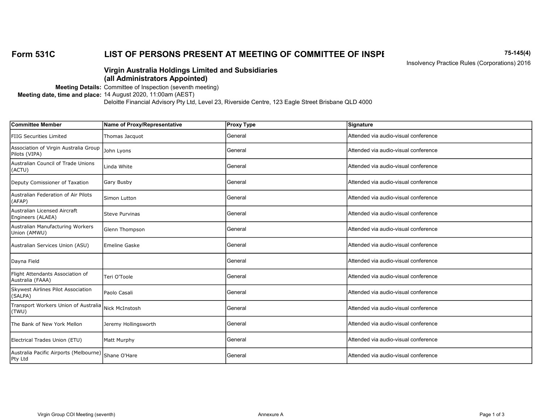# Form 531C LIST OF PERSONS PRESENT AT MEETING OF COMMITTEE OF INSPECTED 15-145(4)

Insolvency Practice Rules (Corporations) 2016

### Virgin Australia Holdings Limited and Subsidiaries (all Administrators Appointed)

Meeting Details: Committee of Inspection (seventh meeting)

#### Meeting date, time and place: 14 August 2020, 11:00am (AEST)

| <b>Committee Member</b>                                | Name of Proxy/Representative | <b>Proxy Type</b> | Signature                            |
|--------------------------------------------------------|------------------------------|-------------------|--------------------------------------|
| <b>FIIG Securities Limited</b>                         | Thomas Jacquot               | General           | Attended via audio-visual conference |
| Association of Virgin Australia Group<br>Pilots (VIPA) | John Lyons                   | General           | Attended via audio-visual conference |
| Australian Council of Trade Unions<br>(ACTU)           | Linda White                  | General           | Attended via audio-visual conference |
| Deputy Comissioner of Taxation                         | Gary Busby                   | General           | Attended via audio-visual conference |
| Australian Federation of Air Pilots<br>(AFAP)          | Simon Lutton                 | General           | Attended via audio-visual conference |
| Australian Licensed Aircraft<br>Engineers (ALAEA)      | <b>Steve Purvinas</b>        | General           | Attended via audio-visual conference |
| Australian Manufacturing Workers<br>Union (AMWU)       | Glenn Thompson               | General           | Attended via audio-visual conference |
| Australian Services Union (ASU)                        | Emeline Gaske                | General           | Attended via audio-visual conference |
| Dayna Field                                            |                              | General           | Attended via audio-visual conference |
| Flight Attendants Association of<br>Australia (FAAA)   | Teri O'Toole                 | General           | Attended via audio-visual conference |
| Skywest Airlines Pilot Association<br>(SALPA)          | Paolo Casali                 | General           | Attended via audio-visual conference |
| Transport Workers Union of Australia<br>(TWU)          | Nick McInstosh               | General           | Attended via audio-visual conference |
| The Bank of New York Mellon                            | Jeremy Hollingsworth         | General           | Attended via audio-visual conference |
| Electrical Trades Union (ETU)                          | Matt Murphy                  | General           | Attended via audio-visual conference |
| Australia Pacific Airports (Melbourne)<br>Pty Ltd      | Shane O'Hare                 | General           | Attended via audio-visual conference |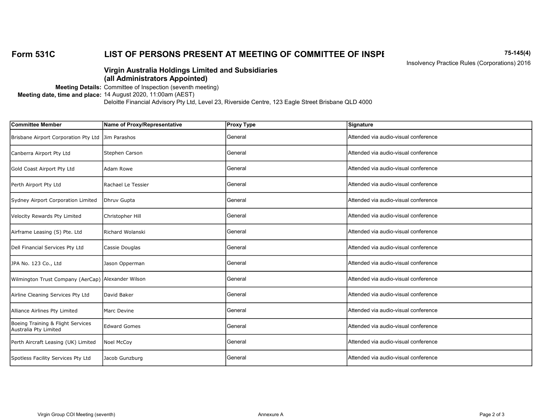# Form 531C LIST OF PERSONS PRESENT AT MEETING OF COMMITTEE OF INSPECTED 15-145(4)

Insolvency Practice Rules (Corporations) 2016

### Virgin Australia Holdings Limited and Subsidiaries (all Administrators Appointed)

Meeting Details: Committee of Inspection (seventh meeting)

Meeting date, time and place: 14 August 2020, 11:00am (AEST)

| <b>Committee Member</b>                                    | Name of Proxy/Representative | <b>Proxy Type</b> | Signature                             |
|------------------------------------------------------------|------------------------------|-------------------|---------------------------------------|
| Brisbane Airport Corporation Pty Ltd                       | Jim Parashos                 | General           | Attended via audio-visual conference  |
| Canberra Airport Pty Ltd                                   | Stephen Carson               | General           | Attended via audio-visual conference  |
| Gold Coast Airport Pty Ltd                                 | lAdam Rowe                   | General           | IAttended via audio-visual conference |
| Perth Airport Pty Ltd                                      | Rachael Le Tessier           | General           | Attended via audio-visual conference  |
| Sydney Airport Corporation Limited                         | Dhruv Gupta                  | General           | Attended via audio-visual conference  |
| Velocity Rewards Pty Limited                               | Christopher Hill             | General           | Attended via audio-visual conference  |
| Airframe Leasing (S) Pte. Ltd                              | Richard Wolanski             | General           | Attended via audio-visual conference  |
| Dell Financial Services Pty Ltd                            | Cassie Douglas               | General           | Attended via audio-visual conference  |
| JPA No. 123 Co., Ltd                                       | Jason Opperman               | General           | Attended via audio-visual conference  |
| Wilmington Trust Company (AerCap) Alexander Wilson         |                              | General           | Attended via audio-visual conference  |
| Airline Cleaning Services Pty Ltd                          | David Baker                  | General           | Attended via audio-visual conference  |
| Alliance Airlines Pty Limited                              | Marc Devine                  | General           | Attended via audio-visual conference  |
| Boeing Training & Flight Services<br>Australia Pty Limited | <b>Edward Gomes</b>          | General           | Attended via audio-visual conference  |
| Perth Aircraft Leasing (UK) Limited                        | Noel McCoy                   | General           | Attended via audio-visual conference  |
| Spotless Facility Services Pty Ltd                         | Jacob Gunzburg               | General           | Attended via audio-visual conference  |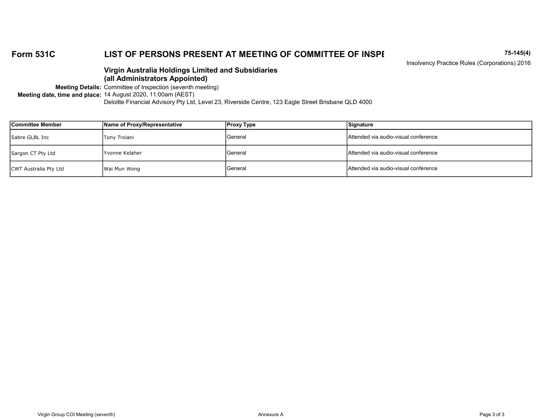# Form 531C LIST OF PERSONS PRESENT AT MEETING OF COMMITTEE OF INSPECTED 15-145(4)

Insolvency Practice Rules (Corporations) 2016

### Virgin Australia Holdings Limited and Subsidiaries (all Administrators Appointed)

Meeting Details: Committee of Inspection (seventh meeting)

Meeting date, time and place: 14 August 2020, 11:00am (AEST)

| Committee Member      | Name of Proxy/Representative | <b>Proxy Type</b> | Signature                             |
|-----------------------|------------------------------|-------------------|---------------------------------------|
| Sabre GLBL Inc        | Tony Troiani                 | <b>General</b>    | IAttended via audio-visual conference |
| Sargon CT Pty Ltd     | IYvonne Kelaher              | General           | Attended via audio-visual conference  |
| CWT Australia Pty Ltd | Wai Mun Wong                 | <b>I</b> General  | lAttended via audio-visual conference |